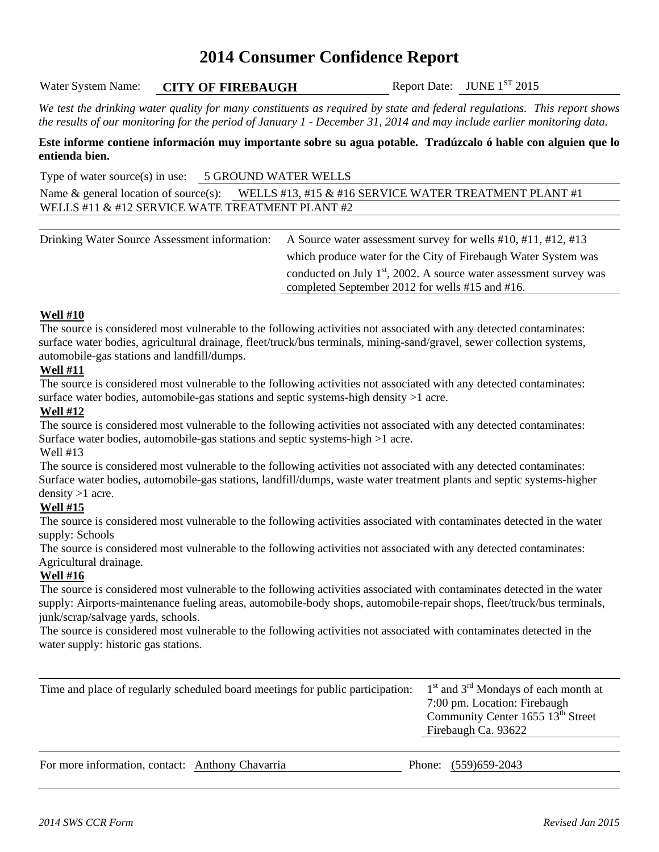# **2014 Consumer Confidence Report**

Water System Name: **CITY OF FIREBAUGH** Report Date: JUNE 1<sup>ST</sup> 2015

*We test the drinking water quality for many constituents as required by state and federal regulations. This report shows the results of our monitoring for the period of January 1 - December 31, 2014 and may include earlier monitoring data.* 

**Este informe contiene información muy importante sobre su agua potable. Tradúzcalo ó hable con alguien que lo entienda bien.**

Type of water source(s) in use: 5 GROUND WATER WELLS

Name & general location of source(s): WELLS #13, #15 & #16 SERVICE WATER TREATMENT PLANT #1 WELLS #11 & #12 SERVICE WATE TREATMENT PLANT #2

Drinking Water Source Assessment information: A Source water assessment survey for wells #10, #11, #12, #13 which produce water for the City of Firebaugh Water System was conducted on July  $1<sup>st</sup>$ , 2002. A source water assessment survey was completed September 2012 for wells #15 and #16.

### **Well #10**

The source is considered most vulnerable to the following activities not associated with any detected contaminates: surface water bodies, agricultural drainage, fleet/truck/bus terminals, mining-sand/gravel, sewer collection systems, automobile-gas stations and landfill/dumps.

### **Well #11**

The source is considered most vulnerable to the following activities not associated with any detected contaminates: surface water bodies, automobile-gas stations and septic systems-high density >1 acre.

### **Well #12**

The source is considered most vulnerable to the following activities not associated with any detected contaminates: Surface water bodies, automobile-gas stations and septic systems-high >1 acre.

Well #13

The source is considered most vulnerable to the following activities not associated with any detected contaminates: Surface water bodies, automobile-gas stations, landfill/dumps, waste water treatment plants and septic systems-higher density >1 acre.

## **Well #15**

The source is considered most vulnerable to the following activities associated with contaminates detected in the water supply: Schools

The source is considered most vulnerable to the following activities not associated with any detected contaminates: Agricultural drainage.

#### **Well #16**

The source is considered most vulnerable to the following activities associated with contaminates detected in the water supply: Airports-maintenance fueling areas, automobile-body shops, automobile-repair shops, fleet/truck/bus terminals, junk/scrap/salvage yards, schools.

The source is considered most vulnerable to the following activities not associated with contaminates detected in the water supply: historic gas stations.

| Time and place of regularly scheduled board meetings for public participation: | $1st$ and $3rd$ Mondays of each month at<br>7:00 pm. Location: Firebaugh<br>Community Center 1655 13 <sup>th</sup> Street<br>Firebaugh Ca. 93622 |
|--------------------------------------------------------------------------------|--------------------------------------------------------------------------------------------------------------------------------------------------|
|                                                                                |                                                                                                                                                  |
|                                                                                |                                                                                                                                                  |

For more information, contact: Anthony Chavarria Phone: (559)659-2043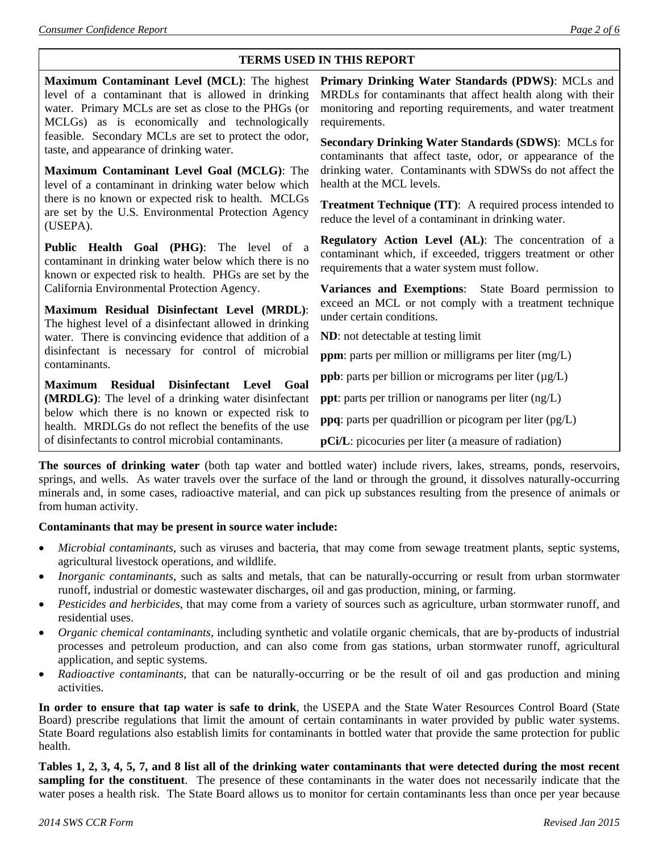## **TERMS USED IN THIS REPORT**

| Maximum Contaminant Level (MCL): The highest<br>level of a contaminant that is allowed in drinking<br>water. Primary MCLs are set as close to the PHGs (or<br>MCLGs) as is economically and technologically | Primary Drinking Water Standards (PDWS): MCLs and<br>MRDLs for contaminants that affect health along with their<br>monitoring and reporting requirements, and water treatment<br>requirements. |  |  |  |
|-------------------------------------------------------------------------------------------------------------------------------------------------------------------------------------------------------------|------------------------------------------------------------------------------------------------------------------------------------------------------------------------------------------------|--|--|--|
| feasible. Secondary MCLs are set to protect the odor,<br>taste, and appearance of drinking water.<br>Maximum Contaminant Level Goal (MCLG): The                                                             | <b>Secondary Drinking Water Standards (SDWS): MCLs for</b><br>contaminants that affect taste, odor, or appearance of the<br>drinking water. Contaminants with SDWSs do not affect the          |  |  |  |
| level of a contaminant in drinking water below which                                                                                                                                                        | health at the MCL levels.                                                                                                                                                                      |  |  |  |
| there is no known or expected risk to health. MCLGs<br>are set by the U.S. Environmental Protection Agency<br>(USEPA).                                                                                      | Treatment Technique (TT): A required process intended to<br>reduce the level of a contaminant in drinking water.                                                                               |  |  |  |
| Public Health Goal (PHG): The level of a<br>contaminant in drinking water below which there is no<br>known or expected risk to health. PHGs are set by the                                                  | Regulatory Action Level (AL): The concentration of a<br>contaminant which, if exceeded, triggers treatment or other<br>requirements that a water system must follow.                           |  |  |  |
| California Environmental Protection Agency.                                                                                                                                                                 | Variances and Exemptions: State Board permission to                                                                                                                                            |  |  |  |
| Maximum Residual Disinfectant Level (MRDL):<br>The highest level of a disinfectant allowed in drinking                                                                                                      | exceed an MCL or not comply with a treatment technique<br>under certain conditions.                                                                                                            |  |  |  |
| water. There is convincing evidence that addition of a                                                                                                                                                      | <b>ND</b> : not detectable at testing limit                                                                                                                                                    |  |  |  |
| disinfectant is necessary for control of microbial<br>contaminants.                                                                                                                                         | <b>ppm</b> : parts per million or milligrams per liter $(mg/L)$                                                                                                                                |  |  |  |
| <b>Residual</b><br>Disinfectant Level<br>Goal<br><b>Maximum</b>                                                                                                                                             | <b>ppb</b> : parts per billion or micrograms per liter $(\mu g/L)$                                                                                                                             |  |  |  |
| (MRDLG): The level of a drinking water disinfectant                                                                                                                                                         | <b>ppt</b> : parts per trillion or nanograms per liter $(ng/L)$                                                                                                                                |  |  |  |
| below which there is no known or expected risk to<br>health. MRDLGs do not reflect the benefits of the use                                                                                                  | ppq: parts per quadrillion or picogram per liter (pg/L)                                                                                                                                        |  |  |  |
| of disinfectants to control microbial contaminants.                                                                                                                                                         | pCi/L: picocuries per liter (a measure of radiation)                                                                                                                                           |  |  |  |

**The sources of drinking water** (both tap water and bottled water) include rivers, lakes, streams, ponds, reservoirs, springs, and wells. As water travels over the surface of the land or through the ground, it dissolves naturally-occurring minerals and, in some cases, radioactive material, and can pick up substances resulting from the presence of animals or from human activity.

## **Contaminants that may be present in source water include:**

- *Microbial contaminants*, such as viruses and bacteria, that may come from sewage treatment plants, septic systems, agricultural livestock operations, and wildlife.
- *Inorganic contaminants*, such as salts and metals, that can be naturally-occurring or result from urban stormwater runoff, industrial or domestic wastewater discharges, oil and gas production, mining, or farming.
- *Pesticides and herbicides*, that may come from a variety of sources such as agriculture, urban stormwater runoff, and residential uses.
- *Organic chemical contaminants*, including synthetic and volatile organic chemicals, that are by-products of industrial processes and petroleum production, and can also come from gas stations, urban stormwater runoff, agricultural application, and septic systems.
- *Radioactive contaminants*, that can be naturally-occurring or be the result of oil and gas production and mining activities.

**In order to ensure that tap water is safe to drink**, the USEPA and the State Water Resources Control Board (State Board) prescribe regulations that limit the amount of certain contaminants in water provided by public water systems. State Board regulations also establish limits for contaminants in bottled water that provide the same protection for public health.

**Tables 1, 2, 3, 4, 5, 7, and 8 list all of the drinking water contaminants that were detected during the most recent sampling for the constituent**. The presence of these contaminants in the water does not necessarily indicate that the water poses a health risk. The State Board allows us to monitor for certain contaminants less than once per year because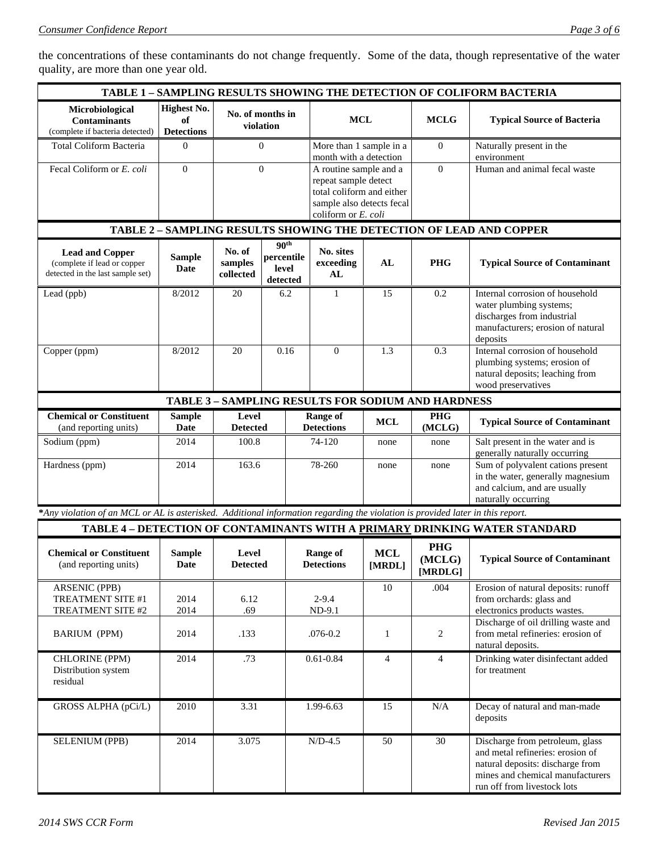the concentrations of these contaminants do not change frequently. Some of the data, though representative of the water quality, are more than one year old.

| <b>TABLE 1 - SAMPLING RESULTS SHOWING THE DETECTION OF COLIFORM BACTERIA</b>                                                   |                                               |                                |                                                     |                                                                                                                                 |                      |                                                           |                                                                                                                                                                            |
|--------------------------------------------------------------------------------------------------------------------------------|-----------------------------------------------|--------------------------------|-----------------------------------------------------|---------------------------------------------------------------------------------------------------------------------------------|----------------------|-----------------------------------------------------------|----------------------------------------------------------------------------------------------------------------------------------------------------------------------------|
| Microbiological<br><b>Contaminants</b><br>(complete if bacteria detected)                                                      | <b>Highest No.</b><br>of<br><b>Detections</b> | No. of months in<br>violation  |                                                     | <b>MCL</b>                                                                                                                      |                      | <b>MCLG</b>                                               | <b>Typical Source of Bacteria</b>                                                                                                                                          |
| Total Coliform Bacteria                                                                                                        | $\Omega$                                      | $\mathbf{0}$                   |                                                     | More than 1 sample in a<br>month with a detection                                                                               |                      | $\overline{0}$                                            | Naturally present in the<br>environment                                                                                                                                    |
| Fecal Coliform or E. coli                                                                                                      | $\overline{0}$                                | $\mathbf{0}$                   |                                                     | A routine sample and a<br>repeat sample detect<br>total coliform and either<br>sample also detects fecal<br>coliform or E. coli |                      | $\Omega$                                                  | Human and animal fecal waste                                                                                                                                               |
| TABLE 2 - SAMPLING RESULTS SHOWING THE DETECTION OF LEAD AND COPPER                                                            |                                               |                                |                                                     |                                                                                                                                 |                      |                                                           |                                                                                                                                                                            |
| <b>Lead and Copper</b><br>(complete if lead or copper<br>detected in the last sample set)                                      | <b>Sample</b><br>Date                         | No. of<br>samples<br>collected | 90 <sup>th</sup><br>percentile<br>level<br>detected | No. sites<br>exceeding<br>AL                                                                                                    | AL                   | <b>PHG</b>                                                | <b>Typical Source of Contaminant</b>                                                                                                                                       |
| Lead (ppb)                                                                                                                     | 8/2012                                        | 20                             | 6.2                                                 | $\mathbf{1}$                                                                                                                    | 15                   | 0.2                                                       | Internal corrosion of household<br>water plumbing systems;<br>discharges from industrial<br>manufacturers; erosion of natural<br>deposits                                  |
| Copper (ppm)                                                                                                                   | 8/2012                                        | 20                             | 0.16                                                | $\theta$                                                                                                                        | 1.3                  | 0.3                                                       | Internal corrosion of household<br>plumbing systems; erosion of<br>natural deposits; leaching from<br>wood preservatives                                                   |
|                                                                                                                                |                                               |                                |                                                     |                                                                                                                                 |                      | <b>TABLE 3 - SAMPLING RESULTS FOR SODIUM AND HARDNESS</b> |                                                                                                                                                                            |
| <b>Chemical or Constituent</b><br>(and reporting units)                                                                        | <b>Sample</b><br>Date                         | Level<br><b>Detected</b>       |                                                     | <b>Range of</b><br><b>Detections</b>                                                                                            | <b>MCL</b>           | <b>PHG</b><br>(MCLG)                                      | <b>Typical Source of Contaminant</b>                                                                                                                                       |
| Sodium (ppm)                                                                                                                   | 2014                                          | 100.8                          |                                                     | 74-120                                                                                                                          | none                 | none                                                      | Salt present in the water and is<br>generally naturally occurring                                                                                                          |
| Hardness (ppm)                                                                                                                 | 2014                                          | 163.6                          |                                                     | 78-260                                                                                                                          | none                 | none                                                      | Sum of polyvalent cations present<br>in the water, generally magnesium<br>and calcium, and are usually<br>naturally occurring                                              |
| *Any violation of an MCL or AL is asterisked. Additional information regarding the violation is provided later in this report. |                                               |                                |                                                     |                                                                                                                                 |                      |                                                           |                                                                                                                                                                            |
|                                                                                                                                |                                               |                                |                                                     |                                                                                                                                 |                      |                                                           | TABLE 4 - DETECTION OF CONTAMINANTS WITH A PRIMARY DRINKING WATER STANDARD                                                                                                 |
| <b>Chemical or Constituent</b><br>(and reporting units)                                                                        | <b>Sample</b><br><b>Date</b>                  | Level<br><b>Detected</b>       |                                                     | <b>Range of</b><br><b>Detections</b>                                                                                            | <b>MCL</b><br>[MRDL] | <b>PHG</b><br>(MCLG)<br>[MRDLG]                           | <b>Typical Source of Contaminant</b>                                                                                                                                       |
| <b>ARSENIC (PPB)</b><br>TREATMENT SITE #1<br>TREATMENT SITE #2                                                                 | 2014<br>2014                                  | 6.12<br>.69                    |                                                     | $2 - 9.4$<br>$ND-9.1$                                                                                                           | 10                   | .004                                                      | Erosion of natural deposits: runoff<br>from orchards: glass and<br>electronics products wastes.                                                                            |
| <b>BARIUM (PPM)</b>                                                                                                            | 2014                                          | .133                           |                                                     | $.076 - 0.2$                                                                                                                    | $\mathbf{1}$         | $\overline{2}$                                            | Discharge of oil drilling waste and<br>from metal refineries: erosion of<br>natural deposits.                                                                              |
| CHLORINE (PPM)<br>Distribution system<br>residual                                                                              | 2014                                          | .73                            |                                                     | $0.61 - 0.84$                                                                                                                   | $\overline{4}$       | $\overline{4}$                                            | Drinking water disinfectant added<br>for treatment                                                                                                                         |
| GROSS ALPHA (pCi/L)                                                                                                            | 2010                                          | 3.31                           |                                                     | 1.99-6.63                                                                                                                       | 15                   | $\rm N/A$                                                 | Decay of natural and man-made<br>deposits                                                                                                                                  |
| <b>SELENIUM (PPB)</b>                                                                                                          | 2014                                          | 3.075                          |                                                     | $N/D-4.5$                                                                                                                       | 50                   | 30                                                        | Discharge from petroleum, glass<br>and metal refineries: erosion of<br>natural deposits: discharge from<br>mines and chemical manufacturers<br>run off from livestock lots |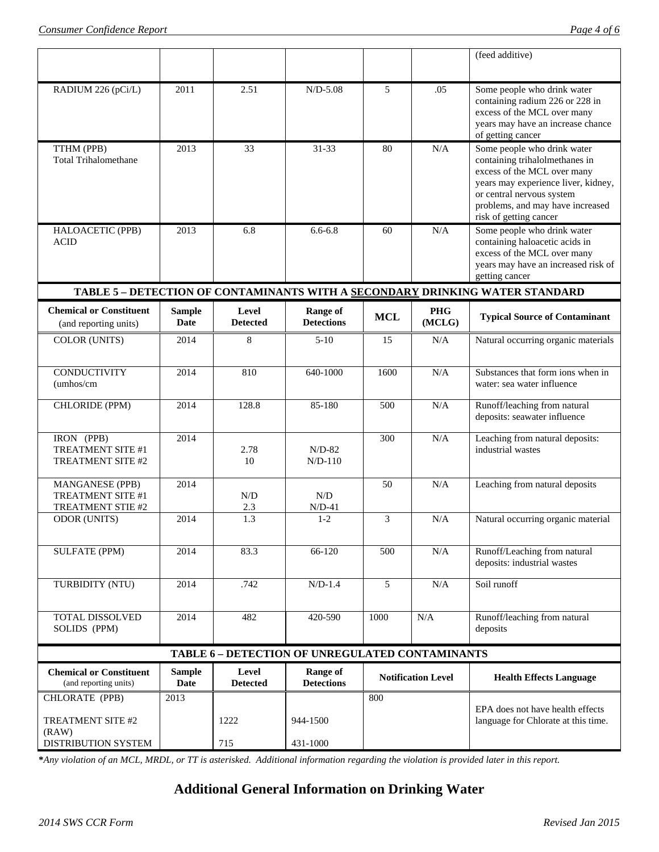|                                                           |                       |                          |                                      |            |                           | (feed additive)                                                                                                                                                                                                                |  |
|-----------------------------------------------------------|-----------------------|--------------------------|--------------------------------------|------------|---------------------------|--------------------------------------------------------------------------------------------------------------------------------------------------------------------------------------------------------------------------------|--|
| RADIUM 226 (pCi/L)                                        | 2011                  | 2.51                     | $N/D-5.08$                           | 5          | .05                       | Some people who drink water<br>containing radium 226 or 228 in<br>excess of the MCL over many<br>years may have an increase chance<br>of getting cancer                                                                        |  |
| TTHM (PPB)<br><b>Total Trihalomethane</b>                 | 2013                  | 33                       | 31-33                                | 80         | N/A                       | Some people who drink water<br>containing trihalolmethanes in<br>excess of the MCL over many<br>years may experience liver, kidney,<br>or central nervous system<br>problems, and may have increased<br>risk of getting cancer |  |
| HALOACETIC (PPB)<br><b>ACID</b>                           | 2013                  | 6.8                      | $6.6 - 6.8$                          | 60         | N/A                       | Some people who drink water<br>containing haloacetic acids in<br>excess of the MCL over many<br>years may have an increased risk of<br>getting cancer                                                                          |  |
|                                                           |                       |                          |                                      |            |                           | TABLE 5 - DETECTION OF CONTAMINANTS WITH A SECONDARY DRINKING WATER STANDARD                                                                                                                                                   |  |
| <b>Chemical or Constituent</b><br>(and reporting units)   | <b>Sample</b><br>Date | Level<br><b>Detected</b> | <b>Range of</b><br><b>Detections</b> | <b>MCL</b> | <b>PHG</b><br>(MCLG)      | <b>Typical Source of Contaminant</b>                                                                                                                                                                                           |  |
| COLOR (UNITS)                                             | 2014                  | 8                        | $5-10$                               | 15         | N/A                       | Natural occurring organic materials                                                                                                                                                                                            |  |
| <b>CONDUCTIVITY</b><br>$\mu$ hos/cm                       | 2014                  | 810                      | 640-1000                             | 1600       | N/A                       | Substances that form ions when in<br>water: sea water influence                                                                                                                                                                |  |
| CHLORIDE (PPM)                                            | 2014                  | 128.8                    | 85-180                               | 500        | N/A                       | Runoff/leaching from natural<br>deposits: seawater influence                                                                                                                                                                   |  |
| IRON (PPB)<br>TREATMENT SITE #1<br>TREATMENT SITE #2      | 2014                  | 2.78<br>10               | $N/D-82$<br>$N/D-110$                | 300        | N/A                       | Leaching from natural deposits:<br>industrial wastes                                                                                                                                                                           |  |
| MANGANESE (PPB)<br>TREATMENT SITE #1<br>TREATMENT STIE #2 | 2014                  | N/D<br>2.3               | N/D<br>$N/D-41$                      | 50         | N/A                       | Leaching from natural deposits                                                                                                                                                                                                 |  |
| <b>ODOR (UNITS)</b>                                       | 2014                  | $\overline{1.3}$         | $1-2$                                | 3          | N/A                       | Natural occurring organic material                                                                                                                                                                                             |  |
| <b>SULFATE (PPM)</b>                                      | 2014                  | 83.3                     | 66-120                               | 500        | N/A                       | Runoff/Leaching from natural<br>deposits: industrial wastes                                                                                                                                                                    |  |
| TURBIDITY (NTU)                                           | 2014                  | .742                     | $N/D-1.4$                            | 5          | N/A                       | Soil runoff                                                                                                                                                                                                                    |  |
| TOTAL DISSOLVED<br>SOLIDS (PPM)                           | 2014                  | 482                      | 420-590                              | 1000       | N/A                       | Runoff/leaching from natural<br>deposits                                                                                                                                                                                       |  |
| <b>TABLE 6 - DETECTION OF UNREGULATED CONTAMINANTS</b>    |                       |                          |                                      |            |                           |                                                                                                                                                                                                                                |  |
| <b>Chemical or Constituent</b><br>(and reporting units)   | <b>Sample</b><br>Date | Level<br><b>Detected</b> | <b>Range of</b><br><b>Detections</b> |            | <b>Notification Level</b> | <b>Health Effects Language</b>                                                                                                                                                                                                 |  |
| CHLORATE (PPB)                                            | 2013                  |                          |                                      | 800        |                           |                                                                                                                                                                                                                                |  |
| TREATMENT SITE #2<br>(RAW)                                |                       | 1222                     | 944-1500                             |            |                           | EPA does not have health effects<br>language for Chlorate at this time.                                                                                                                                                        |  |
| DISTRIBUTION SYSTEM                                       |                       | 715                      | 431-1000                             |            |                           |                                                                                                                                                                                                                                |  |

**\****Any violation of an MCL, MRDL, or TT is asterisked. Additional information regarding the violation is provided later in this report.*

# **Additional General Information on Drinking Water**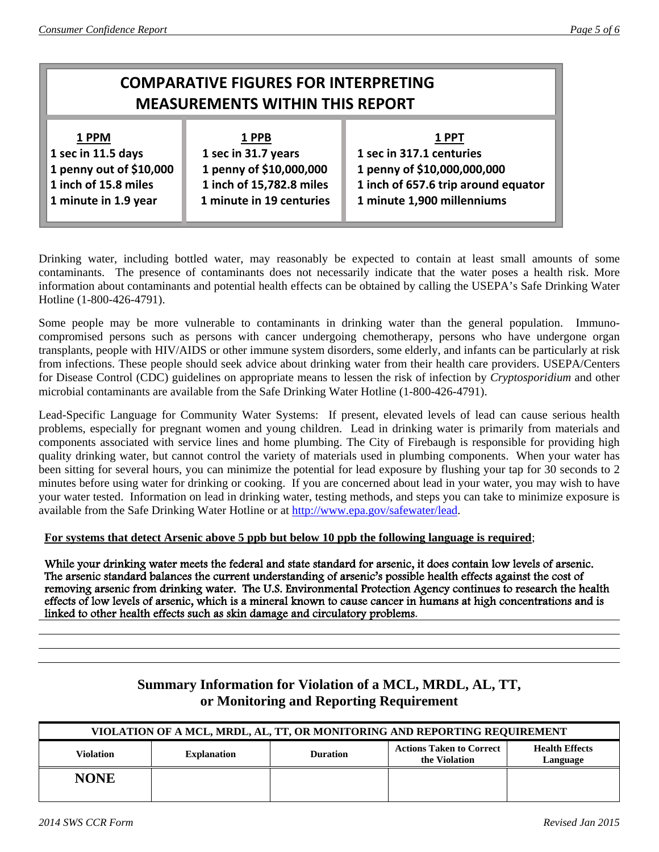# **COMPARATIVE FIGURES FOR INTERPRETING MEASUREMENTS WITHIN THIS REPORT 1 PPM 1 PPB 1 PPT 1 sec in 11.5 days** 1 sec in 31.7 years 1 sec in 317.1 centuries  **1 penny out of \$10,000 1 penny of \$10,000,000 1 penny of \$10,000,000,000 1 inch of 15.8 miles 1 inch of 15,782.8 miles 1 inch of 657.6 trip around equator 1 minute in 1.9 year 1 minute in 19 centuries 1 minute 1,900 millenniums**

Drinking water, including bottled water, may reasonably be expected to contain at least small amounts of some contaminants. The presence of contaminants does not necessarily indicate that the water poses a health risk. More information about contaminants and potential health effects can be obtained by calling the USEPA's Safe Drinking Water Hotline (1-800-426-4791).

Some people may be more vulnerable to contaminants in drinking water than the general population. Immunocompromised persons such as persons with cancer undergoing chemotherapy, persons who have undergone organ transplants, people with HIV/AIDS or other immune system disorders, some elderly, and infants can be particularly at risk from infections. These people should seek advice about drinking water from their health care providers. USEPA/Centers for Disease Control (CDC) guidelines on appropriate means to lessen the risk of infection by *Cryptosporidium* and other microbial contaminants are available from the Safe Drinking Water Hotline (1-800-426-4791).

Lead-Specific Language for Community Water Systems: If present, elevated levels of lead can cause serious health problems, especially for pregnant women and young children. Lead in drinking water is primarily from materials and components associated with service lines and home plumbing. The City of Firebaugh is responsible for providing high quality drinking water, but cannot control the variety of materials used in plumbing components. When your water has been sitting for several hours, you can minimize the potential for lead exposure by flushing your tap for 30 seconds to 2 minutes before using water for drinking or cooking. If you are concerned about lead in your water, you may wish to have your water tested. Information on lead in drinking water, testing methods, and steps you can take to minimize exposure is available from the Safe Drinking Water Hotline or at [http://www.epa.gov/safewater/lead.](http://www.epa.gov/safewater/lead)

**For systems that detect Arsenic above 5 ppb but below 10 ppb the following language is required**;

While your drinking water meets the federal and state standard for arsenic, it does contain low levels of arsenic. The arsenic standard balances the current understanding of arsenic's possible health effects against the cost of removing arsenic from drinking water. The U.S. Environmental Protection Agency continues to research the health effects of low levels of arsenic, which is a mineral known to cause cancer in humans at high concentrations and is linked to other health effects such as skin damage and circulatory problems.

# **Summary Information for Violation of a MCL, MRDL, AL, TT, or Monitoring and Reporting Requirement**

| VIOLATION OF A MCL, MRDL, AL, TT, OR MONITORING AND REPORTING REQUIREMENT |                    |                 |                                                  |                                   |  |  |
|---------------------------------------------------------------------------|--------------------|-----------------|--------------------------------------------------|-----------------------------------|--|--|
| Violation                                                                 | <b>Explanation</b> | <b>Duration</b> | <b>Actions Taken to Correct</b><br>the Violation | <b>Health Effects</b><br>Language |  |  |
| <b>NONE</b>                                                               |                    |                 |                                                  |                                   |  |  |